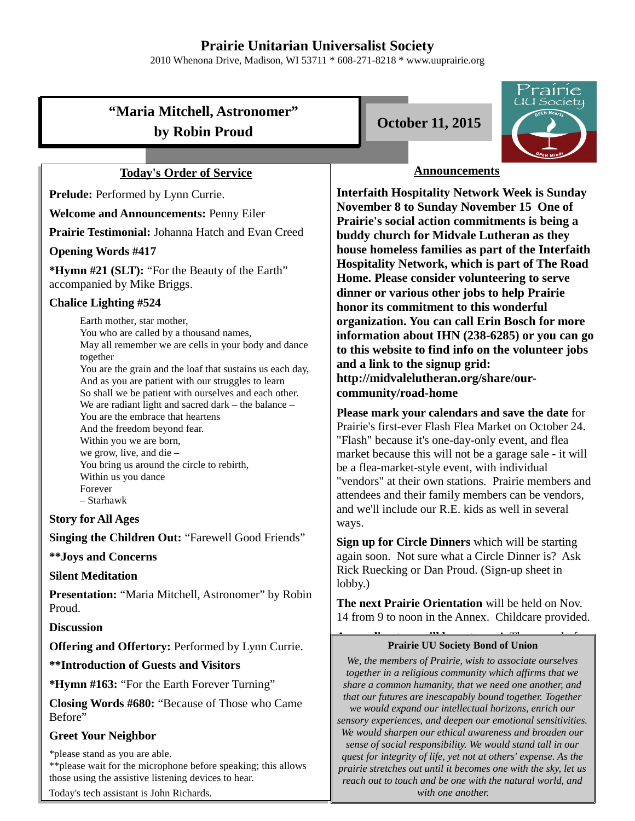# **Prairie Unitarian Universalist Society**

2010 Whenona Drive, Madison, WI 53711 \* 608-271-8218 \* www.uuprairie.org

# **"Maria Mitchell, Astronomer"** by Robin Proud **Detection** Controller 11, 2015

## **Today's Order of Service**

Prelude: Performed by Lynn Currie.

**Welcome and Announcements:** Penny Eiler

**Prairie Testimonial:** Johanna Hatch and Evan Creed

#### **Opening Words #417**

**\*Hymn #21 (SLT):** "For the Beauty of the Earth" accompanied by Mike Briggs.

#### **Chalice Lighting #524**

Earth mother, star mother, You who are called by a thousand names, May all remember we are cells in your body and dance together You are the grain and the loaf that sustains us each day, And as you are patient with our struggles to learn So shall we be patient with ourselves and each other. We are radiant light and sacred dark – the balance – You are the embrace that heartens And the freedom beyond fear. Within you we are born, we grow, live, and die – You bring us around the circle to rebirth, Within us you dance Forever – Starhawk

**Story for All Ages**

**Singing the Children Out:** "Farewell Good Friends"

**\*\*Joys and Concerns**

### **Silent Meditation**

**Presentation:** "Maria Mitchell, Astronomer" by Robin Proud.

**Discussion**

**Offering and Offertory:** Performed by Lynn Currie.

**\*\*Introduction of Guests and Visitors**

**\*Hymn #163:** "For the Earth Forever Turning"

**Closing Words #680:** "Because of Those who Came Before"

### **Greet Your Neighbor**

\*please stand as you are able. \*\*please wait for the microphone before speaking; this allows those using the assistive listening devices to hear.

Today's tech assistant is John Richards.





## **Announcements**

**Interfaith Hospitality Network Week is Sunday November 8 to Sunday November 15 One of Prairie's social action commitments is being a buddy church for Midvale Lutheran as they house homeless families as part of the Interfaith Hospitality Network, which is part of The Road Home. Please consider volunteering to serve dinner or various other jobs to help Prairie honor its commitment to this wonderful organization. You can call Erin Bosch for more information about IHN (238-6285) or you can go to this website to find info on the volunteer jobs and a link to the signup grid: http://midvalelutheran.org/share/ourcommunity/road-home** 

**Please mark your calendars and save the date** for Prairie's first-ever Flash Flea Market on October 24. "Flash" because it's one-day-only event, and flea market because this will not be a garage sale - it will be a flea-market-style event, with individual "vendors" at their own stations. Prairie members and attendees and their family members can be vendors, and we'll include our R.E. kids as well in several ways.

**Sign up for Circle Dinners** which will be starting again soon. Not sure what a Circle Dinner is? Ask Rick Ruecking or Dan Proud. (Sign-up sheet in lobby.)

**The next Prairie Orientation** will be held on Nov. 14 from 9 to noon in the Annex. Childcare provided.

### **A NEW DIRECTORY WILL be out soon**! The out soon! **Prairie UU Society Bond of Union**

*We, the members of Prairie, wish to associate ourselves together in a religious community which affirms that we share a common humanity, that we need one another, and that our futures are inescapably bound together. Together we would expand our intellectual horizons, enrich our sensory experiences, and deepen our emotional sensitivities. We would sharpen our ethical awareness and broaden our sense of social responsibility. We would stand tall in our quest for integrity of life, yet not at others' expense. As the prairie stretches out until it becomes one with the sky, let us reach out to touch and be one with the natural world, and with one another.*